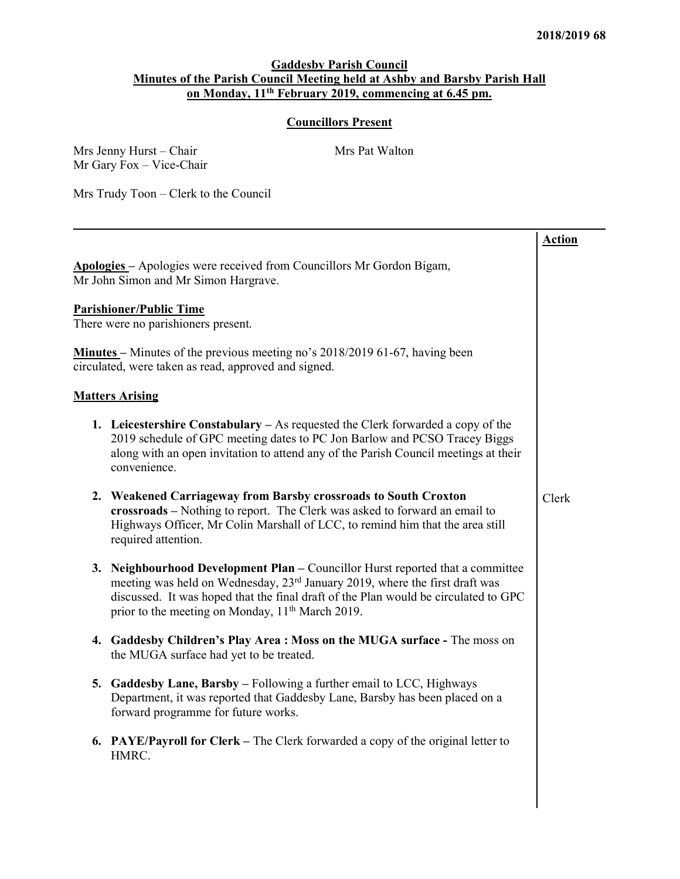## Gaddesby Parish Council Minutes of the Parish Council Meeting held at Ashby and Barsby Parish Hall on Monday, 11th February 2019, commencing at 6.45 pm.

## Councillors Present

|                                                                                                                                                                                                                                                                                                                                  | <b>Action</b> |
|----------------------------------------------------------------------------------------------------------------------------------------------------------------------------------------------------------------------------------------------------------------------------------------------------------------------------------|---------------|
| Apologies - Apologies were received from Councillors Mr Gordon Bigam,<br>Mr John Simon and Mr Simon Hargrave.                                                                                                                                                                                                                    |               |
| <b>Parishioner/Public Time</b><br>There were no parishioners present.                                                                                                                                                                                                                                                            |               |
| <b>Minutes</b> – Minutes of the previous meeting no's 2018/2019 61-67, having been<br>circulated, were taken as read, approved and signed.                                                                                                                                                                                       |               |
| <b>Matters Arising</b>                                                                                                                                                                                                                                                                                                           |               |
| <b>1.</b> Leicestershire Constabulary – As requested the Clerk forwarded a copy of the<br>2019 schedule of GPC meeting dates to PC Jon Barlow and PCSO Tracey Biggs<br>along with an open invitation to attend any of the Parish Council meetings at their<br>convenience.                                                       |               |
| 2. Weakened Carriageway from Barsby crossroads to South Croxton<br>crossroads – Nothing to report. The Clerk was asked to forward an email to<br>Highways Officer, Mr Colin Marshall of LCC, to remind him that the area still<br>required attention.                                                                            | Clerk         |
| 3. Neighbourhood Development Plan - Councillor Hurst reported that a committee<br>meeting was held on Wednesday, 23 <sup>rd</sup> January 2019, where the first draft was<br>discussed. It was hoped that the final draft of the Plan would be circulated to GPC<br>prior to the meeting on Monday, 11 <sup>th</sup> March 2019. |               |
| 4. Gaddesby Children's Play Area : Moss on the MUGA surface - The moss on<br>the MUGA surface had yet to be treated.                                                                                                                                                                                                             |               |
| 5. Gaddesby Lane, Barsby – Following a further email to LCC, Highways<br>Department, it was reported that Gaddesby Lane, Barsby has been placed on a<br>forward programme for future works.                                                                                                                                      |               |
| 6. PAYE/Payroll for Clerk - The Clerk forwarded a copy of the original letter to<br>HMRC.                                                                                                                                                                                                                                        |               |
|                                                                                                                                                                                                                                                                                                                                  |               |

Mrs Jenny Hurst – Chair Mrs Pat Walton Mr Gary Fox – Vice-Chair

Mrs Trudy Toon – Clerk to the Council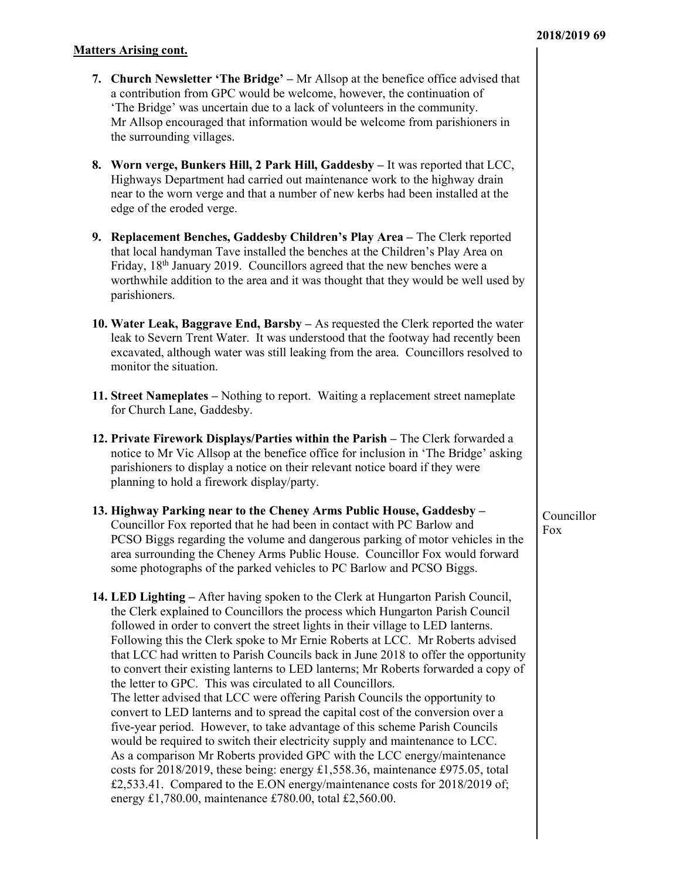#### Matters Arising cont.

- 7. Church Newsletter 'The Bridge' Mr Allsop at the benefice office advised that a contribution from GPC would be welcome, however, the continuation of 'The Bridge' was uncertain due to a lack of volunteers in the community. Mr Allsop encouraged that information would be welcome from parishioners in the surrounding villages.
- 8. Worn verge, Bunkers Hill, 2 Park Hill, Gaddesby It was reported that LCC, Highways Department had carried out maintenance work to the highway drain near to the worn verge and that a number of new kerbs had been installed at the edge of the eroded verge.
- 9. Replacement Benches, Gaddesby Children's Play Area The Clerk reported that local handyman Tave installed the benches at the Children's Play Area on Friday, 18<sup>th</sup> January 2019. Councillors agreed that the new benches were a worthwhile addition to the area and it was thought that they would be well used by parishioners.
- 10. Water Leak, Baggrave End, Barsby As requested the Clerk reported the water leak to Severn Trent Water. It was understood that the footway had recently been excavated, although water was still leaking from the area. Councillors resolved to monitor the situation.
- 11. Street Nameplates Nothing to report. Waiting a replacement street nameplate for Church Lane, Gaddesby.
- 12. Private Firework Displays/Parties within the Parish The Clerk forwarded a notice to Mr Vic Allsop at the benefice office for inclusion in 'The Bridge' asking parishioners to display a notice on their relevant notice board if they were planning to hold a firework display/party.
- 13. Highway Parking near to the Cheney Arms Public House, Gaddesby Councillor Fox reported that he had been in contact with PC Barlow and PCSO Biggs regarding the volume and dangerous parking of motor vehicles in the area surrounding the Cheney Arms Public House. Councillor Fox would forward some photographs of the parked vehicles to PC Barlow and PCSO Biggs.

14. LED Lighting – After having spoken to the Clerk at Hungarton Parish Council, the Clerk explained to Councillors the process which Hungarton Parish Council followed in order to convert the street lights in their village to LED lanterns. Following this the Clerk spoke to Mr Ernie Roberts at LCC. Mr Roberts advised that LCC had written to Parish Councils back in June 2018 to offer the opportunity to convert their existing lanterns to LED lanterns; Mr Roberts forwarded a copy of the letter to GPC. This was circulated to all Councillors. The letter advised that LCC were offering Parish Councils the opportunity to convert to LED lanterns and to spread the capital cost of the conversion over a five-year period. However, to take advantage of this scheme Parish Councils would be required to switch their electricity supply and maintenance to LCC. As a comparison Mr Roberts provided GPC with the LCC energy/maintenance costs for 2018/2019, these being: energy £1,558.36, maintenance £975.05, total £2,533.41. Compared to the E.ON energy/maintenance costs for 2018/2019 of; energy £1,780.00, maintenance £780.00, total £2,560.00.

Councillor Fox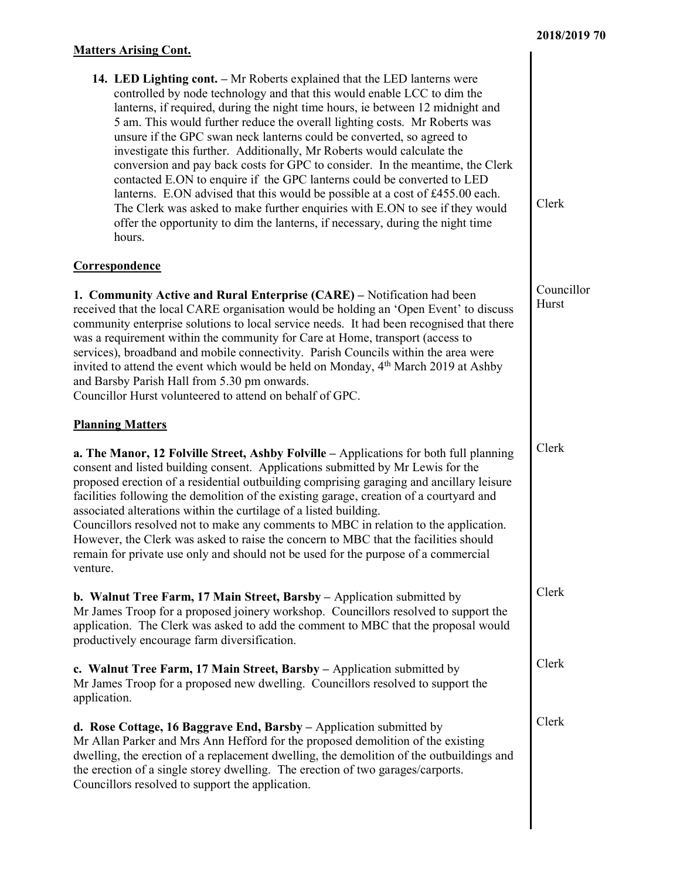## Matters Arising Cont.

| 14. LED Lighting cont. - Mr Roberts explained that the LED lanterns were       |
|--------------------------------------------------------------------------------|
| controlled by node technology and that this would enable LCC to dim the        |
| lanterns, if required, during the night time hours, ie between 12 midnight and |
| 5 am. This would further reduce the overall lighting costs. Mr Roberts was     |
| unsure if the GPC swan neck lanterns could be converted, so agreed to          |
| investigate this further. Additionally, Mr Roberts would calculate the         |
| conversion and pay back costs for GPC to consider. In the meantime, the Clerk  |
| contacted E.ON to enquire if the GPC lanterns could be converted to LED        |
| lanterns. E.ON advised that this would be possible at a cost of £455.00 each.  |
| The Clerk was asked to make further enquiries with E.ON to see if they would   |
| offer the opportunity to dim the lanterns, if necessary, during the night time |
| hours.                                                                         |

#### Correspondence

1. Community Active and Rural Enterprise (CARE) – Notification had been received that the local CARE organisation would be holding an 'Open Event' to discuss community enterprise solutions to local service needs. It had been recognised that there was a requirement within the community for Care at Home, transport (access to services), broadband and mobile connectivity. Parish Councils within the area were invited to attend the event which would be held on Monday, 4<sup>th</sup> March 2019 at Ashby and Barsby Parish Hall from 5.30 pm onwards.

Councillor Hurst volunteered to attend on behalf of GPC.

## Planning Matters

a. The Manor, 12 Folville Street, Ashby Folville – Applications for both full planning consent and listed building consent. Applications submitted by Mr Lewis for the proposed erection of a residential outbuilding comprising garaging and ancillary leisure facilities following the demolition of the existing garage, creation of a courtyard and associated alterations within the curtilage of a listed building. Councillors resolved not to make any comments to MBC in relation to the application. However, the Clerk was asked to raise the concern to MBC that the facilities should remain for private use only and should not be used for the purpose of a commercial venture.

b. Walnut Tree Farm, 17 Main Street, Barsby – Application submitted by Mr James Troop for a proposed joinery workshop. Councillors resolved to support the application. The Clerk was asked to add the comment to MBC that the proposal would productively encourage farm diversification.

c. Walnut Tree Farm, 17 Main Street, Barsby – Application submitted by Mr James Troop for a proposed new dwelling. Councillors resolved to support the application.

d. Rose Cottage, 16 Baggrave End, Barsby – Application submitted by Mr Allan Parker and Mrs Ann Hefford for the proposed demolition of the existing dwelling, the erection of a replacement dwelling, the demolition of the outbuildings and the erection of a single storey dwelling. The erection of two garages/carports. Councillors resolved to support the application.

Clerk

Councillor Hurst

Clerk

Clerk

Clerk

Clerk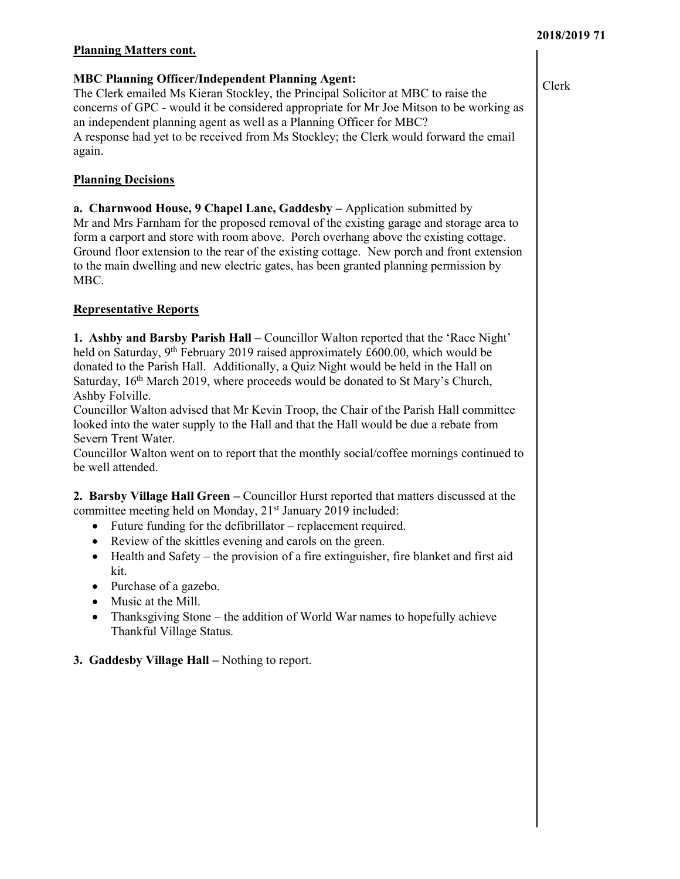#### 2018/2019 71

#### Planning Matters cont.

#### MBC Planning Officer/Independent Planning Agent:

The Clerk emailed Ms Kieran Stockley, the Principal Solicitor at MBC to raise the concerns of GPC - would it be considered appropriate for Mr Joe Mitson to be working as an independent planning agent as well as a Planning Officer for MBC? A response had yet to be received from Ms Stockley; the Clerk would forward the email again.

## **Planning Decisions**

a. Charnwood House, 9 Chapel Lane, Gaddesby – Application submitted by Mr and Mrs Farnham for the proposed removal of the existing garage and storage area to form a carport and store with room above. Porch overhang above the existing cottage. Ground floor extension to the rear of the existing cottage. New porch and front extension to the main dwelling and new electric gates, has been granted planning permission by MBC.

## Representative Reports

1. Ashby and Barsby Parish Hall – Councillor Walton reported that the 'Race Night' held on Saturday,  $9<sup>th</sup>$  February 2019 raised approximately £600.00, which would be donated to the Parish Hall. Additionally, a Quiz Night would be held in the Hall on Saturday, 16<sup>th</sup> March 2019, where proceeds would be donated to St Mary's Church, Ashby Folville.

Councillor Walton advised that Mr Kevin Troop, the Chair of the Parish Hall committee looked into the water supply to the Hall and that the Hall would be due a rebate from Severn Trent Water.

Councillor Walton went on to report that the monthly social/coffee mornings continued to be well attended.

2. Barsby Village Hall Green – Councillor Hurst reported that matters discussed at the committee meeting held on Monday, 21<sup>st</sup> January 2019 included:

- Future funding for the defibrillator replacement required.
- Review of the skittles evening and carols on the green.
- Health and Safety the provision of a fire extinguisher, fire blanket and first aid kit.
- Purchase of a gazebo.
- Music at the Mill.
- Thanksgiving Stone the addition of World War names to hopefully achieve Thankful Village Status.

## 3. Gaddesby Village Hall – Nothing to report.

Clerk